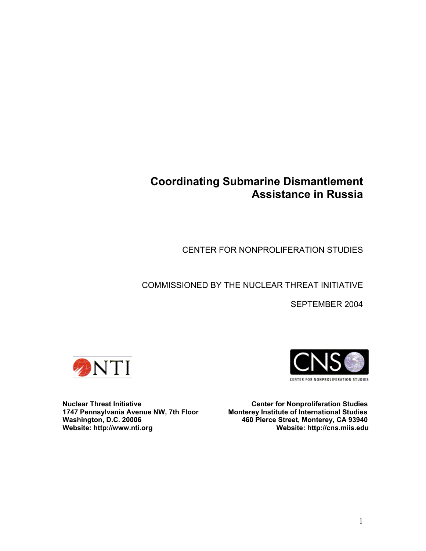# **Coordinating Submarine Dismantlement Assistance in Russia**

CENTER FOR NONPROLIFERATION STUDIES

## COMMISSIONED BY THE NUCLEAR THREAT INITIATIVE

SEPTEMBER 2004





**Nuclear Threat Initiative Center for Nonproliferation Studies<br>1747 Pennsylvania Avenue NW, 7th Floor Monterey Institute of International Studies Monterey Institute of International Studies Washington, D.C. 20006 460 Pierce Street, Monterey, CA 93940 Website: http://cns.miis.edu**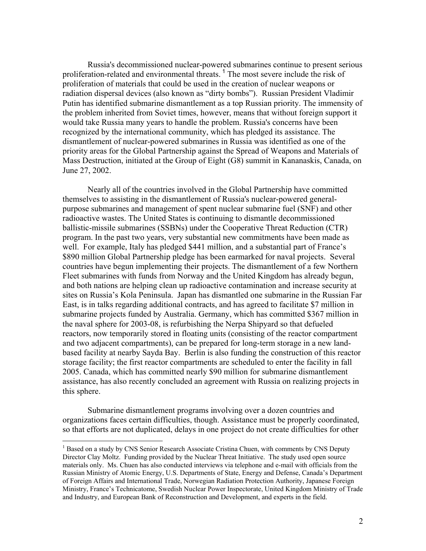Russia's decommissioned nuclear-powered submarines continue to present serious proliferation-related and environmental threats.<sup>[1](#page-1-0)</sup> The most severe include the risk of proliferation of materials that could be used in the creation of nuclear weapons or radiation dispersal devices (also known as "dirty bombs"). Russian President Vladimir Putin has identified submarine dismantlement as a top Russian priority. The immensity of the problem inherited from Soviet times, however, means that without foreign support it would take Russia many years to handle the problem. Russia's concerns have been recognized by the international community, which has pledged its assistance. The dismantlement of nuclear-powered submarines in Russia was identified as one of the priority areas for the Global Partnership against the Spread of Weapons and Materials of Mass Destruction, initiated at the Group of Eight (G8) summit in Kananaskis, Canada, on June 27, 2002.

Nearly all of the countries involved in the Global Partnership have committed themselves to assisting in the dismantlement of Russia's nuclear-powered generalpurpose submarines and management of spent nuclear submarine fuel (SNF) and other radioactive wastes. The United States is continuing to dismantle decommissioned ballistic-missile submarines (SSBNs) under the Cooperative Threat Reduction (CTR) program. In the past two years, very substantial new commitments have been made as well. For example, Italy has pledged \$441 million, and a substantial part of France's \$890 million Global Partnership pledge has been earmarked for naval projects. Several countries have begun implementing their projects. The dismantlement of a few Northern Fleet submarines with funds from Norway and the United Kingdom has already begun, and both nations are helping clean up radioactive contamination and increase security at sites on Russia's Kola Peninsula. Japan has dismantled one submarine in the Russian Far East, is in talks regarding additional contracts, and has agreed to facilitate \$7 million in submarine projects funded by Australia. Germany, which has committed \$367 million in the naval sphere for 2003-08, is refurbishing the Nerpa Shipyard so that defueled reactors, now temporarily stored in floating units (consisting of the reactor compartment and two adjacent compartments), can be prepared for long-term storage in a new landbased facility at nearby Sayda Bay. Berlin is also funding the construction of this reactor storage facility; the first reactor compartments are scheduled to enter the facility in fall 2005. Canada, which has committed nearly \$90 million for submarine dismantlement assistance, has also recently concluded an agreement with Russia on realizing projects in this sphere.

Submarine dismantlement programs involving over a dozen countries and organizations faces certain difficulties, though. Assistance must be properly coordinated, so that efforts are not duplicated, delays in one project do not create difficulties for other

<u>.</u>

<span id="page-1-0"></span><sup>&</sup>lt;sup>1</sup> Based on a study by CNS Senior Research Associate Cristina Chuen, with comments by CNS Deputy Director Clay Moltz. Funding provided by the Nuclear Threat Initiative. The study used open source materials only. Ms. Chuen has also conducted interviews via telephone and e-mail with officials from the Russian Ministry of Atomic Energy, U.S. Departments of State, Energy and Defense, Canada's Department of Foreign Affairs and International Trade, Norwegian Radiation Protection Authority, Japanese Foreign Ministry, France's Technicatome, Swedish Nuclear Power Inspectorate, United Kingdom Ministry of Trade and Industry, and European Bank of Reconstruction and Development, and experts in the field.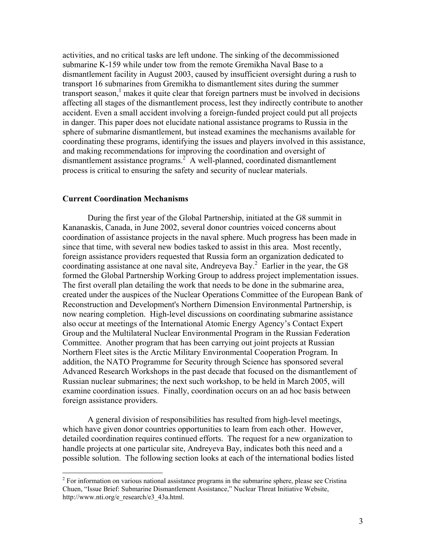activities, and no critical tasks are left undone. The sinking of the decommissioned submarine K-159 while under tow from the remote Gremikha Naval Base to a dismantlement facility in August 2003, caused by insufficient oversight during a rush to transport 16 submarines from Gremikha to dismantlement sites during the summer transport season, $<sup>1</sup>$  $<sup>1</sup>$  $<sup>1</sup>$  makes it quite clear that foreign partners must be involved in decisions</sup> affecting all stages of the dismantlement process, lest they indirectly contribute to another accident. Even a small accident involving a foreign-funded project could put all projects in danger. This paper does not elucidate national assistance programs to Russia in the sphere of submarine dismantlement, but instead examines the mechanisms available for coordinating these programs, identifying the issues and players involved in this assistance, and making recommendations for improving the coordination and oversight of dismantlement assistance programs.<sup>[2](#page-2-0)</sup> A well-planned, coordinated dismantlement process is critical to ensuring the safety and security of nuclear materials.

#### **Current Coordination Mechanisms**

1

During the first year of the Global Partnership, initiated at the G8 summit in Kananaskis, Canada, in June 2002, several donor countries voiced concerns about coordination of assistance projects in the naval sphere. Much progress has been made in since that time, with several new bodies tasked to assist in this area. Most recently, foreign assistance providers requested that Russia form an organization dedicated to coordinating assistance at one naval site, Andreyeva Bay.<sup>[2](#page-23-1)</sup> Earlier in the year, the G8 formed the Global Partnership Working Group to address project implementation issues. The first overall plan detailing the work that needs to be done in the submarine area, created under the auspices of the Nuclear Operations Committee of the European Bank of Reconstruction and Development's Northern Dimension Environmental Partnership, is now nearing completion. High-level discussions on coordinating submarine assistance also occur at meetings of the International Atomic Energy Agency's Contact Expert Group and the Multilateral Nuclear Environmental Program in the Russian Federation Committee. Another program that has been carrying out joint projects at Russian Northern Fleet sites is the Arctic Military Environmental Cooperation Program. In addition, the NATO Programme for Security through Science has sponsored several Advanced Research Workshops in the past decade that focused on the dismantlement of Russian nuclear submarines; the next such workshop, to be held in March 2005, will examine coordination issues. Finally, coordination occurs on an ad hoc basis between foreign assistance providers.

A general division of responsibilities has resulted from high-level meetings, which have given donor countries opportunities to learn from each other. However, detailed coordination requires continued efforts. The request for a new organization to handle projects at one particular site, Andreyeva Bay, indicates both this need and a possible solution. The following section looks at each of the international bodies listed

<span id="page-2-0"></span> $2^{2}$  For information on various national assistance programs in the submarine sphere, please see Cristina Chuen, "Issue Brief: Submarine Dismantlement Assistance," Nuclear Threat Initiative Website, http://www.nti.org/e\_research/e3\_43a.html.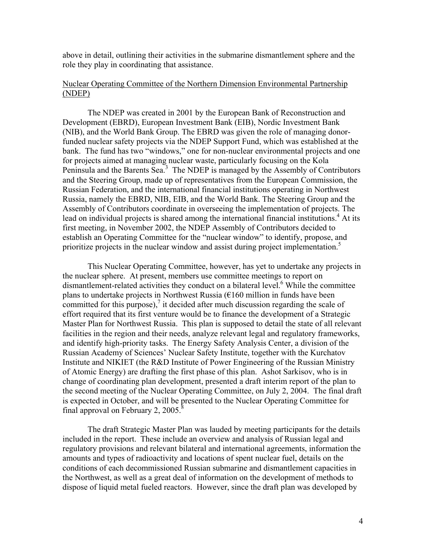above in detail, outlining their activities in the submarine dismantlement sphere and the role they play in coordinating that assistance.

## Nuclear Operating Committee of the Northern Dimension Environmental Partnership (NDEP)

The NDEP was created in 2001 by the European Bank of Reconstruction and Development (EBRD), European Investment Bank (EIB), Nordic Investment Bank (NIB), and the World Bank Group. The EBRD was given the role of managing donorfunded nuclear safety projects via the NDEP Support Fund, which was established at the bank. The fund has two "windows," one for non-nuclear environmental projects and one for projects aimed at managing nuclear waste, particularly focusing on the Kola Peninsula and the Barents Sea.<sup>[3](#page-23-2)</sup> The NDEP is managed by the Assembly of Contributors and the Steering Group, made up of representatives from the European Commission, the Russian Federation, and the international financial institutions operating in Northwest Russia, namely the EBRD, NIB, EIB, and the World Bank. The Steering Group and the Assembly of Contributors coordinate in overseeing the implementation of projects. The lead on individual projects is shared among the international financial institutions.<sup>[4](#page-23-3)</sup> At its first meeting, in November 2002, the NDEP Assembly of Contributors decided to establish an Operating Committee for the "nuclear window" to identify, propose, and prioritize projects in the nuclear window and assist during project implementation.<sup>[5](#page-23-4)</sup>

This Nuclear Operating Committee, however, has yet to undertake any projects in the nuclear sphere. At present, members use committee meetings to report on dismantlement-related activities they conduct on a bilateral level.<sup>[6](#page-23-5)</sup> While the committee plans to undertake projects in Northwest Russia ( $\epsilon$ 160 million in funds have been committed for this purpose), $\frac{7}{1}$  $\frac{7}{1}$  $\frac{7}{1}$  it decided after much discussion regarding the scale of effort required that its first venture would be to finance the development of a Strategic Master Plan for Northwest Russia. This plan is supposed to detail the state of all relevant facilities in the region and their needs, analyze relevant legal and regulatory frameworks, and identify high-priority tasks. The Energy Safety Analysis Center, a division of the Russian Academy of Sciences' Nuclear Safety Institute, together with the Kurchatov Institute and NIKIET (the R&D Institute of Power Engineering of the Russian Ministry of Atomic Energy) are drafting the first phase of this plan. Ashot Sarkisov, who is in change of coordinating plan development, presented a draft interim report of the plan to the second meeting of the Nuclear Operating Committee, on July 2, 2004. The final draft is expected in October, and will be presented to the Nuclear Operating Committee for final approval on February 2,  $2005$ .<sup>8</sup>

The draft Strategic Master Plan was lauded by meeting participants for the details included in the report. These include an overview and analysis of Russian legal and regulatory provisions and relevant bilateral and international agreements, information the amounts and types of radioactivity and locations of spent nuclear fuel, details on the conditions of each decommissioned Russian submarine and dismantlement capacities in the Northwest, as well as a great deal of information on the development of methods to dispose of liquid metal fueled reactors. However, since the draft plan was developed by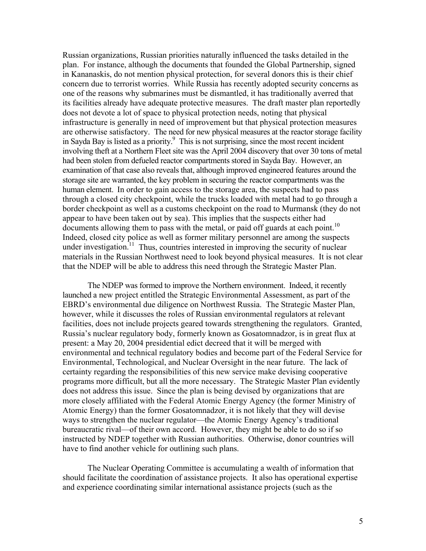Russian organizations, Russian priorities naturally influenced the tasks detailed in the plan. For instance, although the documents that founded the Global Partnership, signed in Kananaskis, do not mention physical protection, for several donors this is their chief concern due to terrorist worries. While Russia has recently adopted security concerns as one of the reasons why submarines must be dismantled, it has traditionally averred that its facilities already have adequate protective measures. The draft master plan reportedly does not devote a lot of space to physical protection needs, noting that physical infrastructure is generally in need of improvement but that physical protection measures are otherwise satisfactory. The need for new physical measures at the reactor storage facility in Sayda Bay is listed as a priority. 9 This is not surprising, since the most recent incident involving theft at a Northern Fleet site was the April 2004 discovery that over 30 tons of metal had been stolen from defueled reactor compartments stored in Sayda Bay. However, an examination of that case also reveals that, although improved engineered features around the storage site are warranted, the key problem in securing the reactor compartments was the human element. In order to gain access to the storage area, the suspects had to pass through a closed city checkpoint, while the trucks loaded with metal had to go through a border checkpoint as well as a customs checkpoint on the road to Murmansk (they do not appear to have been taken out by sea). This implies that the suspects either had documents allowing them to pass with the metal, or paid off guards at each point.<sup>[10](#page-23-9)</sup> Indeed, closed city police as well as former military personnel are among the suspects under investigation.<sup>11</sup> Thus, countries interested in improving the security of nuclear materials in the Russian Northwest need to look beyond physical measures. It is not clear that the NDEP will be able to address this need through the Strategic Master Plan.

The NDEP was formed to improve the Northern environment. Indeed, it recently launched a new project entitled the Strategic Environmental Assessment, as part of the EBRD's environmental due diligence on Northwest Russia. The Strategic Master Plan, however, while it discusses the roles of Russian environmental regulators at relevant facilities, does not include projects geared towards strengthening the regulators. Granted, Russia's nuclear regulatory body, formerly known as Gosatomnadzor, is in great flux at present: a May 20, 2004 presidential edict decreed that it will be merged with environmental and technical regulatory bodies and become part of the Federal Service for Environmental, Technological, and Nuclear Oversight in the near future. The lack of certainty regarding the responsibilities of this new service make devising cooperative programs more difficult, but all the more necessary. The Strategic Master Plan evidently does not address this issue. Since the plan is being devised by organizations that are more closely affiliated with the Federal Atomic Energy Agency (the former Ministry of Atomic Energy) than the former Gosatomnadzor, it is not likely that they will devise ways to strengthen the nuclear regulator—the Atomic Energy Agency's traditional bureaucratic rival—of their own accord. However, they might be able to do so if so instructed by NDEP together with Russian authorities. Otherwise, donor countries will have to find another vehicle for outlining such plans.

The Nuclear Operating Committee is accumulating a wealth of information that should facilitate the coordination of assistance projects. It also has operational expertise and experience coordinating similar international assistance projects (such as the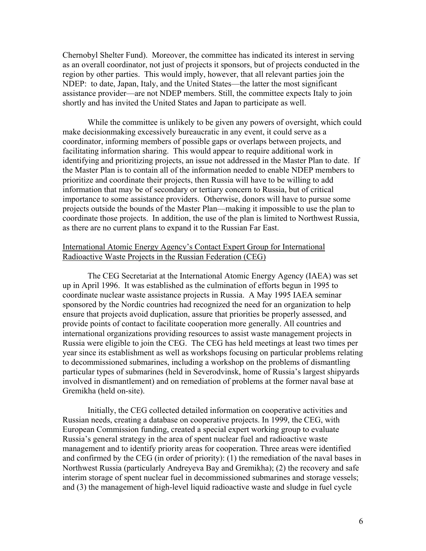Chernobyl Shelter Fund). Moreover, the committee has indicated its interest in serving as an overall coordinator, not just of projects it sponsors, but of projects conducted in the region by other parties. This would imply, however, that all relevant parties join the NDEP: to date, Japan, Italy, and the United States—the latter the most significant assistance provider—are not NDEP members. Still, the committee expects Italy to join shortly and has invited the United States and Japan to participate as well.

While the committee is unlikely to be given any powers of oversight, which could make decisionmaking excessively bureaucratic in any event, it could serve as a coordinator, informing members of possible gaps or overlaps between projects, and facilitating information sharing. This would appear to require additional work in identifying and prioritizing projects, an issue not addressed in the Master Plan to date. If the Master Plan is to contain all of the information needed to enable NDEP members to prioritize and coordinate their projects, then Russia will have to be willing to add information that may be of secondary or tertiary concern to Russia, but of critical importance to some assistance providers. Otherwise, donors will have to pursue some projects outside the bounds of the Master Plan—making it impossible to use the plan to coordinate those projects. In addition, the use of the plan is limited to Northwest Russia, as there are no current plans to expand it to the Russian Far East.

## International Atomic Energy Agency's Contact Expert Group for International Radioactive Waste Projects in the Russian Federation (CEG)

The CEG Secretariat at the International Atomic Energy Agency (IAEA) was set up in April 1996. It was established as the culmination of efforts begun in 1995 to coordinate nuclear waste assistance projects in Russia. A May 1995 IAEA seminar sponsored by the Nordic countries had recognized the need for an organization to help ensure that projects avoid duplication, assure that priorities be properly assessed, and provide points of contact to facilitate cooperation more generally. All countries and international organizations providing resources to assist waste management projects in Russia were eligible to join the CEG. The CEG has held meetings at least two times per year since its establishment as well as workshops focusing on particular problems relating to decommissioned submarines, including a workshop on the problems of dismantling particular types of submarines (held in Severodvinsk, home of Russia's largest shipyards involved in dismantlement) and on remediation of problems at the former naval base at Gremikha (held on-site).

Initially, the CEG collected detailed information on cooperative activities and Russian needs, creating a database on cooperative projects. In 1999, the CEG, with European Commission funding, created a special expert working group to evaluate Russia's general strategy in the area of spent nuclear fuel and radioactive waste management and to identify priority areas for cooperation. Three areas were identified and confirmed by the CEG (in order of priority): (1) the remediation of the naval bases in Northwest Russia (particularly Andreyeva Bay and Gremikha); (2) the recovery and safe interim storage of spent nuclear fuel in decommissioned submarines and storage vessels; and (3) the management of high-level liquid radioactive waste and sludge in fuel cycle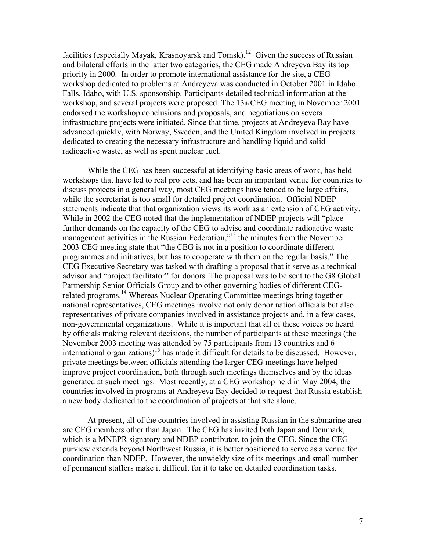facilities (especially Mayak, Krasnoyarsk and Tomsk).<sup>12</sup> Given the success of Russian and bilateral efforts in the latter two categories, the CEG made Andreyeva Bay its top priority in 2000. In order to promote international assistance for the site, a CEG workshop dedicated to problems at Andreyeva was conducted in October 2001 in Idaho Falls, Idaho, with U.S. sponsorship. Participants detailed technical information at the workshop, and several projects were proposed. The 13th CEG meeting in November 2001 endorsed the workshop conclusions and proposals, and negotiations on several infrastructure projects were initiated. Since that time, projects at Andreyeva Bay have advanced quickly, with Norway, Sweden, and the United Kingdom involved in projects dedicated to creating the necessary infrastructure and handling liquid and solid radioactive waste, as well as spent nuclear fuel.

While the CEG has been successful at identifying basic areas of work, has held workshops that have led to real projects, and has been an important venue for countries to discuss projects in a general way, most CEG meetings have tended to be large affairs, while the secretariat is too small for detailed project coordination. Official NDEP statements indicate that that organization views its work as an extension of CEG activity. While in 2002 the CEG noted that the implementation of NDEP projects will "place further demands on the capacity of the CEG to advise and coordinate radioactive waste management activities in the Russian Federation,"<sup>13</sup> the minutes from the November 2003 CEG meeting state that "the CEG is not in a position to coordinate different programmes and initiatives, but has to cooperate with them on the regular basis." The CEG Executive Secretary was tasked with drafting a proposal that it serve as a technical advisor and "project facilitator" for donors. The proposal was to be sent to the G8 Global Partnership Senior Officials Group and to other governing bodies of different CEGrelated programs.<sup>14</sup> Whereas Nuclear Operating Committee meetings bring together national representatives, CEG meetings involve not only donor nation officials but also representatives of private companies involved in assistance projects and, in a few cases, non-governmental organizations. While it is important that all of these voices be heard by officials making relevant decisions, the number of participants at these meetings (the November 2003 meeting was attended by 75 participants from 13 countries and 6 international organizations)<sup>15</sup> has made it difficult for details to be discussed. However, private meetings between officials attending the larger CEG meetings have helped improve project coordination, both through such meetings themselves and by the ideas generated at such meetings. Most recently, at a CEG workshop held in May 2004, the countries involved in programs at Andreyeva Bay decided to request that Russia establish a new body dedicated to the coordination of projects at that site alone.

At present, all of the countries involved in assisting Russian in the submarine area are CEG members other than Japan. The CEG has invited both Japan and Denmark, which is a MNEPR signatory and NDEP contributor, to join the CEG. Since the CEG purview extends beyond Northwest Russia, it is better positioned to serve as a venue for coordination than NDEP. However, the unwieldy size of its meetings and small number of permanent staffers make it difficult for it to take on detailed coordination tasks.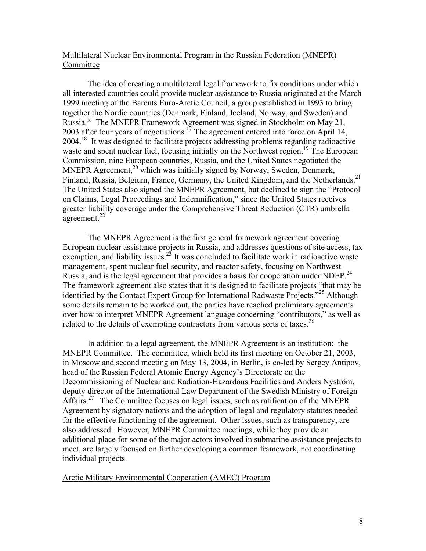## Multilateral Nuclear Environmental Program in the Russian Federation (MNEPR) Committee

The idea of creating a multilateral legal framework to fix conditions under which all interested countries could provide nuclear assistance to Russia originated at the March 1999 meeting of the Barents Euro-Arctic Council, a group established in 1993 to bring together the Nordic countries (Denmark, Finland, Iceland, Norway, and Sweden) and Russia[.16](#page-23-15) The MNEPR Framework Agreement was signed in Stockholm on May 21, 2003 after four years of negotiations.<sup>17</sup> The agreement entered into force on April 14, 2004.<sup>18</sup> It was designed to facilitate projects addressing problems regarding radioactive waste and spent nuclear fuel, focusing initially on the Northwest region.<sup>19</sup> The European Commission, nine European countries, Russia, and the United States negotiated the MNEPR Agreement,<sup>20</sup> which was initially signed by Norway, Sweden, Denmark, Finland, Russia, Belgium, France, Germany, the United Kingdom, and the Netherlands.<sup>[21](#page-23-18)</sup> The United States also signed the MNEPR Agreement, but declined to sign the "Protocol on Claims, Legal Proceedings and Indemnification," since the United States receives greater liability coverage under the Comprehensive Threat Reduction (CTR) umbrella agreement.<sup>22</sup>

The MNEPR Agreement is the first general framework agreement covering European nuclear assistance projects in Russia, and addresses questions of site access, tax exemption, and liability issues.<sup>23</sup> It was concluded to facilitate work in radioactive waste management, spent nuclear fuel security, and reactor safety, focusing on Northwest Russia, and is the legal agreement that provides a basis for cooperation under NDEP.<sup>24</sup> The framework agreement also states that it is designed to facilitate projects "that may be identified by the Contact Expert Group for International Radwaste Projects."<sup>25</sup> Although some details remain to be worked out, the parties have reached preliminary agreements over how to interpret MNEPR Agreement language concerning "contributors," as well as related to the details of exempting contractors from various sorts of taxes.<sup>[26](#page-23-21)</sup>

In addition to a legal agreement, the MNEPR Agreement is an institution: the MNEPR Committee. The committee, which held its first meeting on October 21, 2003, in Moscow and second meeting on May 13, 2004, in Berlin, is co-led by Sergey Antipov, head of the Russian Federal Atomic Energy Agency's Directorate on the Decommissioning of Nuclear and Radiation-Hazardous Facilities and Anders Nyström, deputy director of the International Law Department of the Swedish Ministry of Foreign Affairs.<sup>27</sup> The Committee focuses on legal issues, such as ratification of the MNEPR Agreement by signatory nations and the adoption of legal and regulatory statutes needed for the effective functioning of the agreement. Other issues, such as transparency, are also addressed. However, MNEPR Committee meetings, while they provide an additional place for some of the major actors involved in submarine assistance projects to meet, are largely focused on further developing a common framework, not coordinating individual projects.

Arctic Military Environmental Cooperation (AMEC) Program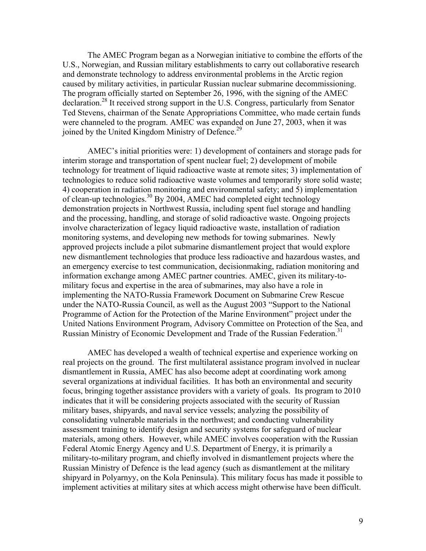The AMEC Program began as a Norwegian initiative to combine the efforts of the U.S., Norwegian, and Russian military establishments to carry out collaborative research and demonstrate technology to address environmental problems in the Arctic region caused by military activities, in particular Russian nuclear submarine decommissioning. The program officially started on September 26, 1996, with the signing of the AMEC declaration.<sup>28</sup> It received strong support in the U.S. Congress, particularly from Senator Ted Stevens, chairman of the Senate Appropriations Committee, who made certain funds were channeled to the program. AMEC was expanded on June 27, 2003, when it was joined by the United Kingdom Ministry of Defence.<sup>29</sup>

AMEC's initial priorities were: 1) development of containers and storage pads for interim storage and transportation of spent nuclear fuel; 2) development of mobile technology for treatment of liquid radioactive waste at remote sites; 3) implementation of technologies to reduce solid radioactive waste volumes and temporarily store solid waste; 4) cooperation in radiation monitoring and environmental safety; and 5) implementation of clean-up technologies[.30](#page-23-24) By 2004, AMEC had completed eight technology demonstration projects in Northwest Russia, including spent fuel storage and handling and the processing, handling, and storage of solid radioactive waste. Ongoing projects involve characterization of legacy liquid radioactive waste, installation of radiation monitoring systems, and developing new methods for towing submarines. Newly approved projects include a pilot submarine dismantlement project that would explore new dismantlement technologies that produce less radioactive and hazardous wastes, and an emergency exercise to test communication, decisionmaking, radiation monitoring and information exchange among AMEC partner countries. AMEC, given its military-tomilitary focus and expertise in the area of submarines, may also have a role in implementing the NATO-Russia Framework Document on Submarine Crew Rescue under the NATO-Russia Council, as well as the August 2003 "Support to the National Programme of Action for the Protection of the Marine Environment" project under the United Nations Environment Program, Advisory Committee on Protection of the Sea, and Russian Ministry of Economic Development and Trade of the Russian Federation.<sup>31</sup>

AMEC has developed a wealth of technical expertise and experience working on real projects on the ground. The first multilateral assistance program involved in nuclear dismantlement in Russia, AMEC has also become adept at coordinating work among several organizations at individual facilities. It has both an environmental and security focus, bringing together assistance providers with a variety of goals. Its program to 2010 indicates that it will be considering projects associated with the security of Russian military bases, shipyards, and naval service vessels; analyzing the possibility of consolidating vulnerable materials in the northwest; and conducting vulnerability assessment training to identify design and security systems for safeguard of nuclear materials, among others. However, while AMEC involves cooperation with the Russian Federal Atomic Energy Agency and U.S. Department of Energy, it is primarily a military-to-military program, and chiefly involved in dismantlement projects where the Russian Ministry of Defence is the lead agency (such as dismantlement at the military shipyard in Polyarnyy, on the Kola Peninsula). This military focus has made it possible to implement activities at military sites at which access might otherwise have been difficult.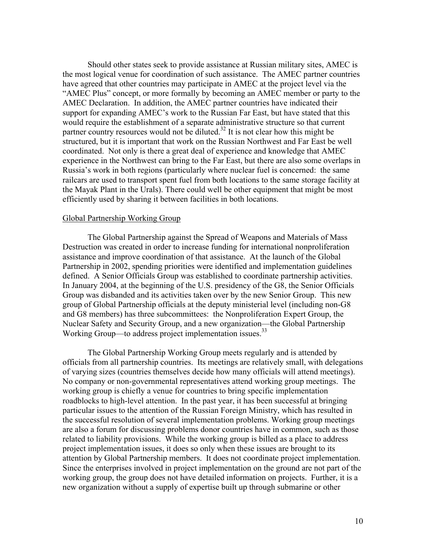Should other states seek to provide assistance at Russian military sites, AMEC is the most logical venue for coordination of such assistance. The AMEC partner countries have agreed that other countries may participate in AMEC at the project level via the "AMEC Plus" concept, or more formally by becoming an AMEC member or party to the AMEC Declaration. In addition, the AMEC partner countries have indicated their support for expanding AMEC's work to the Russian Far East, but have stated that this would require the establishment of a separate administrative structure so that current partner country resources would not be diluted.<sup>32</sup> It is not clear how this might be structured, but it is important that work on the Russian Northwest and Far East be well coordinated. Not only is there a great deal of experience and knowledge that AMEC experience in the Northwest can bring to the Far East, but there are also some overlaps in Russia's work in both regions (particularly where nuclear fuel is concerned: the same railcars are used to transport spent fuel from both locations to the same storage facility at the Mayak Plant in the Urals). There could well be other equipment that might be most efficiently used by sharing it between facilities in both locations.

#### Global Partnership Working Group

The Global Partnership against the Spread of Weapons and Materials of Mass Destruction was created in order to increase funding for international nonproliferation assistance and improve coordination of that assistance. At the launch of the Global Partnership in 2002, spending priorities were identified and implementation guidelines defined. A Senior Officials Group was established to coordinate partnership activities. In January 2004, at the beginning of the U.S. presidency of the G8, the Senior Officials Group was disbanded and its activities taken over by the new Senior Group. This new group of Global Partnership officials at the deputy ministerial level (including non-G8 and G8 members) has three subcommittees: the Nonproliferation Expert Group, the Nuclear Safety and Security Group, and a new organization—the Global Partnership Working Group—to address project implementation issues.<sup>33</sup>

The Global Partnership Working Group meets regularly and is attended by officials from all partnership countries. Its meetings are relatively small, with delegations of varying sizes (countries themselves decide how many officials will attend meetings). No company or non-governmental representatives attend working group meetings. The working group is chiefly a venue for countries to bring specific implementation roadblocks to high-level attention. In the past year, it has been successful at bringing particular issues to the attention of the Russian Foreign Ministry, which has resulted in the successful resolution of several implementation problems. Working group meetings are also a forum for discussing problems donor countries have in common, such as those related to liability provisions. While the working group is billed as a place to address project implementation issues, it does so only when these issues are brought to its attention by Global Partnership members. It does not coordinate project implementation. Since the enterprises involved in project implementation on the ground are not part of the working group, the group does not have detailed information on projects. Further, it is a new organization without a supply of expertise built up through submarine or other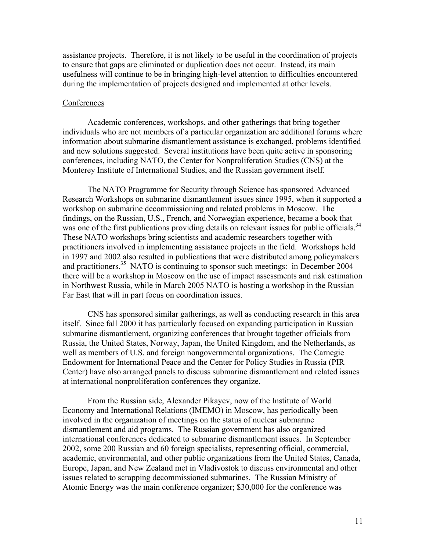assistance projects. Therefore, it is not likely to be useful in the coordination of projects to ensure that gaps are eliminated or duplication does not occur. Instead, its main usefulness will continue to be in bringing high-level attention to difficulties encountered during the implementation of projects designed and implemented at other levels.

#### **Conferences**

Academic conferences, workshops, and other gatherings that bring together individuals who are not members of a particular organization are additional forums where information about submarine dismantlement assistance is exchanged, problems identified and new solutions suggested. Several institutions have been quite active in sponsoring conferences, including NATO, the Center for Nonproliferation Studies (CNS) at the Monterey Institute of International Studies, and the Russian government itself.

The NATO Programme for Security through Science has sponsored Advanced Research Workshops on submarine dismantlement issues since 1995, when it supported a workshop on submarine decommissioning and related problems in Moscow. The findings, on the Russian, U.S., French, and Norwegian experience, became a book that was one of the first publications providing details on relevant issues for public officials.<sup>34</sup> These NATO workshops bring scientists and academic researchers together with practitioners involved in implementing assistance projects in the field. Workshops held in 1997 and 2002 also resulted in publications that were distributed among policymakers and practitioners.<sup>35</sup> NATO is continuing to sponsor such meetings: in December 2004 there will be a workshop in Moscow on the use of impact assessments and risk estimation in Northwest Russia, while in March 2005 NATO is hosting a workshop in the Russian Far East that will in part focus on coordination issues.

CNS has sponsored similar gatherings, as well as conducting research in this area itself. Since fall 2000 it has particularly focused on expanding participation in Russian submarine dismantlement, organizing conferences that brought together officials from Russia, the United States, Norway, Japan, the United Kingdom, and the Netherlands, as well as members of U.S. and foreign nongovernmental organizations. The Carnegie Endowment for International Peace and the Center for Policy Studies in Russia (PIR Center) have also arranged panels to discuss submarine dismantlement and related issues at international nonproliferation conferences they organize.

From the Russian side, Alexander Pikayev, now of the Institute of World Economy and International Relations (IMEMO) in Moscow, has periodically been involved in the organization of meetings on the status of nuclear submarine dismantlement and aid programs. The Russian government has also organized international conferences dedicated to submarine dismantlement issues. In September 2002, some 200 Russian and 60 foreign specialists, representing official, commercial, academic, environmental, and other public organizations from the United States, Canada, Europe, Japan, and New Zealand met in Vladivostok to discuss environmental and other issues related to scrapping decommissioned submarines. The Russian Ministry of Atomic Energy was the main conference organizer; \$30,000 for the conference was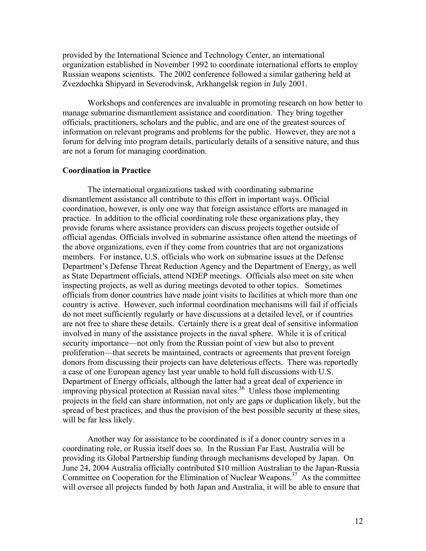provided by the International Science and Technology Center, an international organization established in November 1992 to coordinate international efforts to employ Russian weapons scientists. The 2002 conference followed a similar gathering held at Zvezdochka Shipyard in Severodvinsk, Arkhangelsk region in July 2001.

Workshops and conferences are invaluable in promoting research on how better to manage submarine dismantlement assistance and coordination. They bring together officials, practitioners, scholars and the public, and are one of the greatest sources of information on relevant programs and problems for the public. However, they are not a forum for delving into program details, particularly details of a sensitive nature, and thus are not a forum for managing coordination.

## **Coordination in Practice**

The international organizations tasked with coordinating submarine dismantlement assistance all contribute to this effort in important ways. Official coordination, however, is only one way that foreign assistance efforts are managed in practice. In addition to the official coordinating role these organizations play, they provide forums where assistance providers can discuss projects together outside of official agendas. Officials involved in submarine assistance often attend the meetings of the above organizations, even if they come from countries that are not organizations members. For instance, U.S. officials who work on submarine issues at the Defense Department's Defense Threat Reduction Agency and the Department of Energy, as well as State Department officials, attend NDEP meetings. Officials also meet on site when inspecting projects, as well as during meetings devoted to other topics. Sometimes officials from donor countries have made joint visits to facilities at which more than one country is active. However, such informal coordination mechanisms will fail if officials do not meet sufficiently regularly or have discussions at a detailed level, or if countries are not free to share these details. Certainly there is a great deal of sensitive information involved in many of the assistance projects in the naval sphere. While it is of critical security importance—not only from the Russian point of view but also to prevent proliferation—that secrets be maintained, contracts or agreements that prevent foreign donors from discussing their projects can have deleterious effects. There was reportedly a case of one European agency last year unable to hold full discussions with U.S. Department of Energy officials, although the latter had a great deal of experience in improving physical protection at Russian naval sites.<sup>36</sup> Unless those implementing projects in the field can share information, not only are gaps or duplication likely, but the spread of best practices, and thus the provision of the best possible security at these sites, will be far less likely.

Another way for assistance to be coordinated is if a donor country serves in a coordinating role, or Russia itself does so. In the Russian Far East, Australia will be providing its Global Partnership funding through mechanisms developed by Japan. On June 24, 2004 Australia officially contributed \$10 million Australian to the Japan-Russia Committee on Cooperation for the Elimination of Nuclear Weapons.<sup>37</sup> As the committee will oversee all projects funded by both Japan and Australia, it will be able to ensure that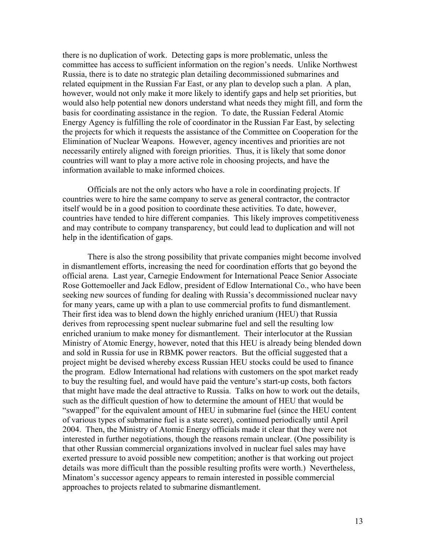there is no duplication of work. Detecting gaps is more problematic, unless the committee has access to sufficient information on the region's needs. Unlike Northwest Russia, there is to date no strategic plan detailing decommissioned submarines and related equipment in the Russian Far East, or any plan to develop such a plan. A plan, however, would not only make it more likely to identify gaps and help set priorities, but would also help potential new donors understand what needs they might fill, and form the basis for coordinating assistance in the region. To date, the Russian Federal Atomic Energy Agency is fulfilling the role of coordinator in the Russian Far East, by selecting the projects for which it requests the assistance of the Committee on Cooperation for the Elimination of Nuclear Weapons. However, agency incentives and priorities are not necessarily entirely aligned with foreign priorities. Thus, it is likely that some donor countries will want to play a more active role in choosing projects, and have the information available to make informed choices.

Officials are not the only actors who have a role in coordinating projects. If countries were to hire the same company to serve as general contractor, the contractor itself would be in a good position to coordinate these activities. To date, however, countries have tended to hire different companies. This likely improves competitiveness and may contribute to company transparency, but could lead to duplication and will not help in the identification of gaps.

There is also the strong possibility that private companies might become involved in dismantlement efforts, increasing the need for coordination efforts that go beyond the official arena. Last year, Carnegie Endowment for International Peace Senior Associate Rose Gottemoeller and Jack Edlow, president of Edlow International Co., who have been seeking new sources of funding for dealing with Russia's decommissioned nuclear navy for many years, came up with a plan to use commercial profits to fund dismantlement. Their first idea was to blend down the highly enriched uranium (HEU) that Russia derives from reprocessing spent nuclear submarine fuel and sell the resulting low enriched uranium to make money for dismantlement. Their interlocutor at the Russian Ministry of Atomic Energy, however, noted that this HEU is already being blended down and sold in Russia for use in RBMK power reactors. But the official suggested that a project might be devised whereby excess Russian HEU stocks could be used to finance the program. Edlow International had relations with customers on the spot market ready to buy the resulting fuel, and would have paid the venture's start-up costs, both factors that might have made the deal attractive to Russia. Talks on how to work out the details, such as the difficult question of how to determine the amount of HEU that would be "swapped" for the equivalent amount of HEU in submarine fuel (since the HEU content of various types of submarine fuel is a state secret), continued periodically until April 2004. Then, the Ministry of Atomic Energy officials made it clear that they were not interested in further negotiations, though the reasons remain unclear. (One possibility is that other Russian commercial organizations involved in nuclear fuel sales may have exerted pressure to avoid possible new competition; another is that working out project details was more difficult than the possible resulting profits were worth.) Nevertheless, Minatom's successor agency appears to remain interested in possible commercial approaches to projects related to submarine dismantlement.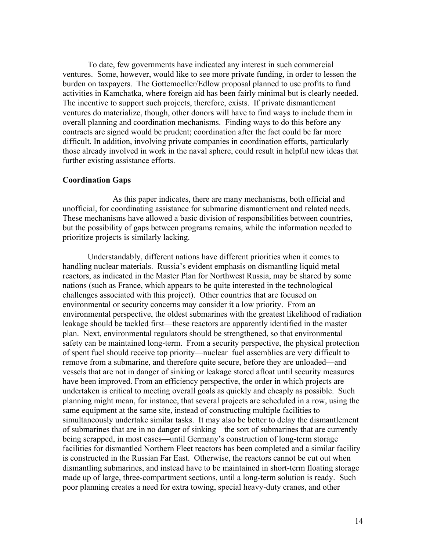To date, few governments have indicated any interest in such commercial ventures. Some, however, would like to see more private funding, in order to lessen the burden on taxpayers. The Gottemoeller/Edlow proposal planned to use profits to fund activities in Kamchatka, where foreign aid has been fairly minimal but is clearly needed. The incentive to support such projects, therefore, exists. If private dismantlement ventures do materialize, though, other donors will have to find ways to include them in overall planning and coordination mechanisms. Finding ways to do this before any contracts are signed would be prudent; coordination after the fact could be far more difficult. In addition, involving private companies in coordination efforts, particularly those already involved in work in the naval sphere, could result in helpful new ideas that further existing assistance efforts.

#### **Coordination Gaps**

As this paper indicates, there are many mechanisms, both official and unofficial, for coordinating assistance for submarine dismantlement and related needs. These mechanisms have allowed a basic division of responsibilities between countries, but the possibility of gaps between programs remains, while the information needed to prioritize projects is similarly lacking.

Understandably, different nations have different priorities when it comes to handling nuclear materials. Russia's evident emphasis on dismantling liquid metal reactors, as indicated in the Master Plan for Northwest Russia, may be shared by some nations (such as France, which appears to be quite interested in the technological challenges associated with this project). Other countries that are focused on environmental or security concerns may consider it a low priority. From an environmental perspective, the oldest submarines with the greatest likelihood of radiation leakage should be tackled first—these reactors are apparently identified in the master plan. Next, environmental regulators should be strengthened, so that environmental safety can be maintained long-term. From a security perspective, the physical protection of spent fuel should receive top priority—nuclear fuel assemblies are very difficult to remove from a submarine, and therefore quite secure, before they are unloaded—and vessels that are not in danger of sinking or leakage stored afloat until security measures have been improved. From an efficiency perspective, the order in which projects are undertaken is critical to meeting overall goals as quickly and cheaply as possible. Such planning might mean, for instance, that several projects are scheduled in a row, using the same equipment at the same site, instead of constructing multiple facilities to simultaneously undertake similar tasks. It may also be better to delay the dismantlement of submarines that are in no danger of sinking—the sort of submarines that are currently being scrapped, in most cases—until Germany's construction of long-term storage facilities for dismantled Northern Fleet reactors has been completed and a similar facility is constructed in the Russian Far East. Otherwise, the reactors cannot be cut out when dismantling submarines, and instead have to be maintained in short-term floating storage made up of large, three-compartment sections, until a long-term solution is ready. Such poor planning creates a need for extra towing, special heavy-duty cranes, and other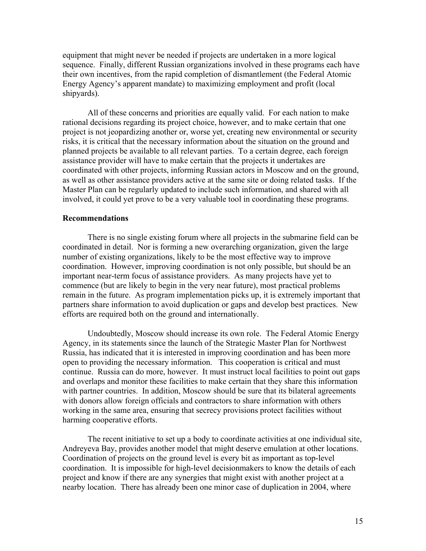equipment that might never be needed if projects are undertaken in a more logical sequence. Finally, different Russian organizations involved in these programs each have their own incentives, from the rapid completion of dismantlement (the Federal Atomic Energy Agency's apparent mandate) to maximizing employment and profit (local shipyards).

All of these concerns and priorities are equally valid. For each nation to make rational decisions regarding its project choice, however, and to make certain that one project is not jeopardizing another or, worse yet, creating new environmental or security risks, it is critical that the necessary information about the situation on the ground and planned projects be available to all relevant parties. To a certain degree, each foreign assistance provider will have to make certain that the projects it undertakes are coordinated with other projects, informing Russian actors in Moscow and on the ground, as well as other assistance providers active at the same site or doing related tasks. If the Master Plan can be regularly updated to include such information, and shared with all involved, it could yet prove to be a very valuable tool in coordinating these programs.

#### **Recommendations**

There is no single existing forum where all projects in the submarine field can be coordinated in detail. Nor is forming a new overarching organization, given the large number of existing organizations, likely to be the most effective way to improve coordination. However, improving coordination is not only possible, but should be an important near-term focus of assistance providers. As many projects have yet to commence (but are likely to begin in the very near future), most practical problems remain in the future. As program implementation picks up, it is extremely important that partners share information to avoid duplication or gaps and develop best practices. New efforts are required both on the ground and internationally.

Undoubtedly, Moscow should increase its own role. The Federal Atomic Energy Agency, in its statements since the launch of the Strategic Master Plan for Northwest Russia, has indicated that it is interested in improving coordination and has been more open to providing the necessary information. This cooperation is critical and must continue. Russia can do more, however. It must instruct local facilities to point out gaps and overlaps and monitor these facilities to make certain that they share this information with partner countries. In addition, Moscow should be sure that its bilateral agreements with donors allow foreign officials and contractors to share information with others working in the same area, ensuring that secrecy provisions protect facilities without harming cooperative efforts.

The recent initiative to set up a body to coordinate activities at one individual site, Andreyeva Bay, provides another model that might deserve emulation at other locations. Coordination of projects on the ground level is every bit as important as top-level coordination. It is impossible for high-level decisionmakers to know the details of each project and know if there are any synergies that might exist with another project at a nearby location. There has already been one minor case of duplication in 2004, where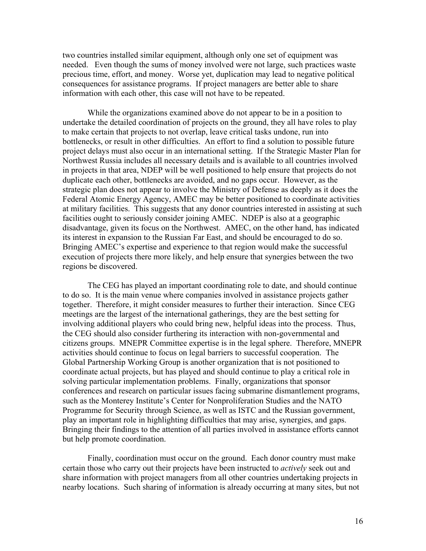two countries installed similar equipment, although only one set of equipment was needed. Even though the sums of money involved were not large, such practices waste precious time, effort, and money. Worse yet, duplication may lead to negative political consequences for assistance programs. If project managers are better able to share information with each other, this case will not have to be repeated.

While the organizations examined above do not appear to be in a position to undertake the detailed coordination of projects on the ground, they all have roles to play to make certain that projects to not overlap, leave critical tasks undone, run into bottlenecks, or result in other difficulties. An effort to find a solution to possible future project delays must also occur in an international setting. If the Strategic Master Plan for Northwest Russia includes all necessary details and is available to all countries involved in projects in that area, NDEP will be well positioned to help ensure that projects do not duplicate each other, bottlenecks are avoided, and no gaps occur. However, as the strategic plan does not appear to involve the Ministry of Defense as deeply as it does the Federal Atomic Energy Agency, AMEC may be better positioned to coordinate activities at military facilities. This suggests that any donor countries interested in assisting at such facilities ought to seriously consider joining AMEC. NDEP is also at a geographic disadvantage, given its focus on the Northwest. AMEC, on the other hand, has indicated its interest in expansion to the Russian Far East, and should be encouraged to do so. Bringing AMEC's expertise and experience to that region would make the successful execution of projects there more likely, and help ensure that synergies between the two regions be discovered.

The CEG has played an important coordinating role to date, and should continue to do so. It is the main venue where companies involved in assistance projects gather together. Therefore, it might consider measures to further their interaction. Since CEG meetings are the largest of the international gatherings, they are the best setting for involving additional players who could bring new, helpful ideas into the process. Thus, the CEG should also consider furthering its interaction with non-governmental and citizens groups. MNEPR Committee expertise is in the legal sphere. Therefore, MNEPR activities should continue to focus on legal barriers to successful cooperation. The Global Partnership Working Group is another organization that is not positioned to coordinate actual projects, but has played and should continue to play a critical role in solving particular implementation problems. Finally, organizations that sponsor conferences and research on particular issues facing submarine dismantlement programs, such as the Monterey Institute's Center for Nonproliferation Studies and the NATO Programme for Security through Science, as well as ISTC and the Russian government, play an important role in highlighting difficulties that may arise, synergies, and gaps. Bringing their findings to the attention of all parties involved in assistance efforts cannot but help promote coordination.

Finally, coordination must occur on the ground. Each donor country must make certain those who carry out their projects have been instructed to *actively* seek out and share information with project managers from all other countries undertaking projects in nearby locations. Such sharing of information is already occurring at many sites, but not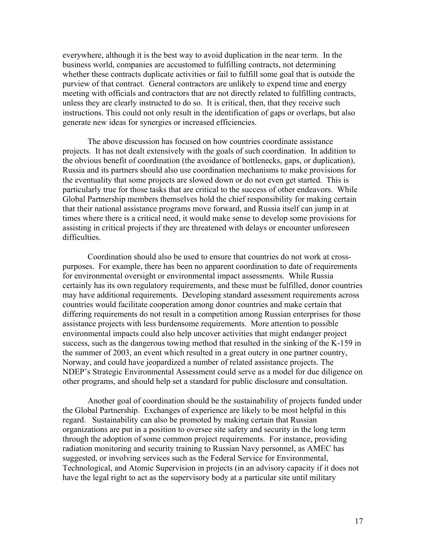everywhere, although it is the best way to avoid duplication in the near term. In the business world, companies are accustomed to fulfilling contracts, not determining whether these contracts duplicate activities or fail to fulfill some goal that is outside the purview of that contract. General contractors are unlikely to expend time and energy meeting with officials and contractors that are not directly related to fulfilling contracts, unless they are clearly instructed to do so. It is critical, then, that they receive such instructions. This could not only result in the identification of gaps or overlaps, but also generate new ideas for synergies or increased efficiencies.

The above discussion has focused on how countries coordinate assistance projects. It has not dealt extensively with the goals of such coordination. In addition to the obvious benefit of coordination (the avoidance of bottlenecks, gaps, or duplication), Russia and its partners should also use coordination mechanisms to make provisions for the eventuality that some projects are slowed down or do not even get started. This is particularly true for those tasks that are critical to the success of other endeavors. While Global Partnership members themselves hold the chief responsibility for making certain that their national assistance programs move forward, and Russia itself can jump in at times where there is a critical need, it would make sense to develop some provisions for assisting in critical projects if they are threatened with delays or encounter unforeseen difficulties.

Coordination should also be used to ensure that countries do not work at crosspurposes. For example, there has been no apparent coordination to date of requirements for environmental oversight or environmental impact assessments. While Russia certainly has its own regulatory requirements, and these must be fulfilled, donor countries may have additional requirements. Developing standard assessment requirements across countries would facilitate cooperation among donor countries and make certain that differing requirements do not result in a competition among Russian enterprises for those assistance projects with less burdensome requirements. More attention to possible environmental impacts could also help uncover activities that might endanger project success, such as the dangerous towing method that resulted in the sinking of the K-159 in the summer of 2003, an event which resulted in a great outcry in one partner country, Norway, and could have jeopardized a number of related assistance projects. The NDEP's Strategic Environmental Assessment could serve as a model for due diligence on other programs, and should help set a standard for public disclosure and consultation.

Another goal of coordination should be the sustainability of projects funded under the Global Partnership. Exchanges of experience are likely to be most helpful in this regard. Sustainability can also be promoted by making certain that Russian organizations are put in a position to oversee site safety and security in the long term through the adoption of some common project requirements. For instance, providing radiation monitoring and security training to Russian Navy personnel, as AMEC has suggested, or involving services such as the Federal Service for Environmental, Technological, and Atomic Supervision in projects (in an advisory capacity if it does not have the legal right to act as the supervisory body at a particular site until military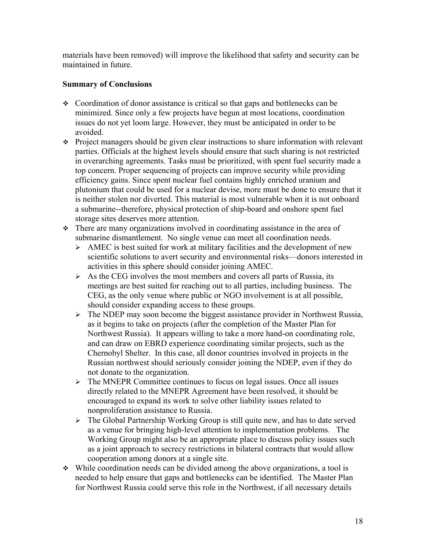materials have been removed) will improve the likelihood that safety and security can be maintained in future.

## **Summary of Conclusions**

- Coordination of donor assistance is critical so that gaps and bottlenecks can be minimized. Since only a few projects have begun at most locations, coordination issues do not yet loom large. However, they must be anticipated in order to be avoided.
- Project managers should be given clear instructions to share information with relevant parties. Officials at the highest levels should ensure that such sharing is not restricted in overarching agreements. Tasks must be prioritized, with spent fuel security made a top concern. Proper sequencing of projects can improve security while providing efficiency gains. Since spent nuclear fuel contains highly enriched uranium and plutonium that could be used for a nuclear devise, more must be done to ensure that it is neither stolen nor diverted. This material is most vulnerable when it is not onboard a submarine--therefore, physical protection of ship-board and onshore spent fuel storage sites deserves more attention.
- There are many organizations involved in coordinating assistance in the area of submarine dismantlement. No single venue can meet all coordination needs.
	- $\geq$  AMEC is best suited for work at military facilities and the development of new scientific solutions to avert security and environmental risks—donors interested in activities in this sphere should consider joining AMEC.
	- $\triangleright$  As the CEG involves the most members and covers all parts of Russia, its meetings are best suited for reaching out to all parties, including business. The CEG, as the only venue where public or NGO involvement is at all possible, should consider expanding access to these groups.
	- $\triangleright$  The NDEP may soon become the biggest assistance provider in Northwest Russia, as it begins to take on projects (after the completion of the Master Plan for Northwest Russia). It appears willing to take a more hand-on coordinating role, and can draw on EBRD experience coordinating similar projects, such as the Chernobyl Shelter. In this case, all donor countries involved in projects in the Russian northwest should seriously consider joining the NDEP, even if they do not donate to the organization.
	- $\triangleright$  The MNEPR Committee continues to focus on legal issues. Once all issues directly related to the MNEPR Agreement have been resolved, it should be encouraged to expand its work to solve other liability issues related to nonproliferation assistance to Russia.
	- $\triangleright$  The Global Partnership Working Group is still quite new, and has to date served as a venue for bringing high-level attention to implementation problems. The Working Group might also be an appropriate place to discuss policy issues such as a joint approach to secrecy restrictions in bilateral contracts that would allow cooperation among donors at a single site.
- $\cdot$  While coordination needs can be divided among the above organizations, a tool is needed to help ensure that gaps and bottlenecks can be identified. The Master Plan for Northwest Russia could serve this role in the Northwest, if all necessary details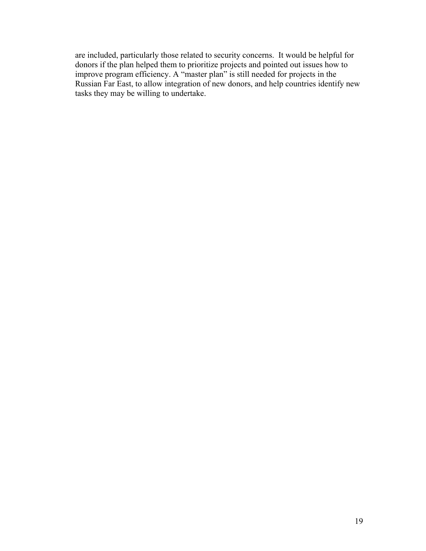are included, particularly those related to security concerns. It would be helpful for donors if the plan helped them to prioritize projects and pointed out issues how to improve program efficiency. A "master plan" is still needed for projects in the Russian Far East, to allow integration of new donors, and help countries identify new tasks they may be willing to undertake.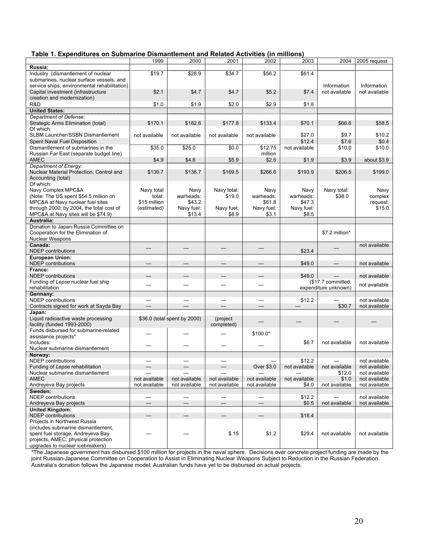|  | Table 1. Expenditures on Submarine Dismantlement and Related Activities (in millions) |  |  |
|--|---------------------------------------------------------------------------------------|--|--|
|--|---------------------------------------------------------------------------------------|--|--|

|                                                                      | 1999                     | 2000                         | 2001                     | 2002                     | 2003          | 2004                 | 2005 request  |
|----------------------------------------------------------------------|--------------------------|------------------------------|--------------------------|--------------------------|---------------|----------------------|---------------|
| Russia:                                                              |                          |                              |                          |                          |               |                      |               |
| Industry (dismantlement of nuclear                                   | \$19.7                   | \$28.9                       | \$34.7                   | \$56.2                   | \$61.4        |                      |               |
| submarines, nuclear surface vessels, and                             |                          |                              |                          |                          |               |                      |               |
| service ships; environmental rehabilitation)                         |                          |                              |                          |                          |               | Information          | Information   |
| Capital investment (infrastructure                                   | \$2.1                    | \$4.7                        | \$4.7                    | \$5.2                    | \$7.4         | not available        | not available |
| creation and modernization)                                          |                          |                              |                          |                          |               |                      |               |
| R&D                                                                  | \$1.0                    | \$1.9                        | \$2.0                    | \$2.9                    | \$1.8         |                      |               |
| <b>United States:</b>                                                |                          |                              |                          |                          |               |                      |               |
| Department of Defense:                                               |                          |                              |                          |                          |               |                      |               |
| Strategic Arms Elimination (total)                                   | \$170.1                  | \$182.6                      | \$177.8                  | \$133.4                  | \$70.1        | \$66.6               | \$58.5        |
| Of which:                                                            |                          |                              |                          |                          |               |                      |               |
| SLBM Launcher/SSBN Dismantlement                                     | not available            | not available                | not available            | not available            | \$27.0        | \$9.7                | \$10.2        |
| Spent Naval Fuel Disposition                                         |                          |                              |                          |                          | \$12.4        | \$7.6                | \$0.4         |
| Dismantlement of submarines in the                                   | \$35.0                   | \$25.0                       | \$0.0                    | \$12.75                  | not available | \$10.0               | \$10.0        |
| Russian Far East (separate budget line)                              |                          |                              |                          | million                  |               |                      |               |
| AMEC                                                                 | \$4.9                    | \$4.6                        | \$5.9                    | \$2.6                    | \$1.9         | \$3.9                | about \$3.9   |
| Department of Energy:                                                |                          |                              |                          |                          |               |                      |               |
| Nuclear Material Protection, Control and                             | \$139.7                  | \$138.7                      | \$169.5                  | \$266.6                  | \$193.9       | \$206.5              | \$199.0       |
| Accounting (total)                                                   |                          |                              |                          |                          |               |                      |               |
| Of which:                                                            |                          |                              |                          |                          |               |                      |               |
| Navy Complex MPC&A                                                   |                          | Navy                         | Navy total:              | Navy                     | Navy          | Navy total:          | Navy          |
| (Note: The US spent \$54.5 million on                                | Navy total<br>total:     | warheads:                    | \$19.0                   | warheads:                | warheads:     | \$38.0               | complex       |
| MPC&A at Navy nuclear fuel sites                                     | \$15 million             | \$43.2                       |                          | \$61.8                   | \$47.3        |                      | request:      |
| through 2000; by 2004, the total cost of                             |                          | Navy fuel:                   | Navy fuel:               | Navy fuel:               | Navy fuel:    |                      | \$15.0        |
| MPC&A at Navy sites will be \$74.9)                                  | (estimated)              | \$13.4                       | \$8.9                    | \$3.1                    | \$8.5         |                      |               |
| Australia:                                                           |                          |                              |                          |                          |               |                      |               |
| Donation to Japan-Russia Committee on                                |                          |                              |                          |                          |               |                      |               |
| Cooperation for the Elimination of                                   |                          |                              |                          |                          |               | \$7.2 million*       |               |
| <b>Nuclear Weapons</b>                                               |                          |                              |                          |                          |               |                      |               |
| Canada:                                                              |                          |                              |                          |                          |               |                      | not available |
| <b>NDEP</b> contributions                                            |                          |                              |                          |                          | \$23.4        |                      |               |
| <b>European Union:</b>                                               |                          |                              |                          |                          |               |                      |               |
| <b>NDEP</b> contributions                                            |                          |                              |                          |                          | \$49.0        |                      | not available |
| France:                                                              |                          |                              |                          |                          |               |                      |               |
| <b>NDEP</b> contributions                                            |                          |                              |                          |                          | \$49.0        |                      | not available |
| Funding of Lepse nuclear fuel ship                                   |                          |                              |                          |                          |               | (\$17.7 committed,   |               |
| rehabilitation                                                       |                          |                              |                          |                          |               |                      | not available |
| Germany:                                                             |                          |                              |                          |                          |               |                      |               |
|                                                                      |                          |                              |                          |                          |               | expenditure unknown) |               |
| <b>NDEP</b> contributions                                            | $\overline{\phantom{0}}$ |                              | $\overline{\phantom{0}}$ |                          |               |                      | not available |
|                                                                      |                          |                              |                          |                          | \$12.2        |                      | not available |
| Contracts signed for work at Sayda Bay                               |                          |                              |                          |                          |               | \$30.7               |               |
| Japan:                                                               |                          |                              | (project                 |                          |               |                      |               |
| Liquid radioactive waste processing                                  |                          | \$36.0 (total spent by 2000) |                          |                          |               |                      |               |
| facility (funded 1993-2000)<br>Funds disbursed for submarine-related |                          |                              | completed)               |                          |               |                      |               |
| assistance projects*                                                 |                          |                              |                          | \$100.0*                 |               |                      |               |
| Includes:                                                            |                          |                              |                          |                          | \$6.7         | not available        | not available |
| Nuclear submarine dismantlement                                      |                          |                              |                          |                          |               |                      |               |
| Norway:                                                              |                          |                              |                          |                          |               |                      |               |
| <b>NDEP</b> contributions                                            |                          |                              |                          |                          | \$12.2        |                      | not available |
| Funding of Lepse rehabilitation                                      |                          |                              |                          | Over \$3.0               | not available | not available        | not available |
| Nuclear submarine dismantlement                                      |                          |                              |                          |                          |               | \$12.0               | not available |
| AMEC                                                                 | not available            | not available                | not available            | not available            | not available | \$1.0                | not available |
| Andreyeva Bay projects                                               | not available            | not available                | not available            | not available            | \$4.0         | not available        | not available |
| Sweden:                                                              |                          |                              |                          |                          |               |                      |               |
| <b>NDEP</b> contributions                                            |                          |                              |                          |                          | \$12.2        |                      | not available |
| Andreyeva Bay projects                                               |                          | $\overline{\phantom{0}}$     | $\overline{\phantom{0}}$ | $\overline{\phantom{0}}$ | \$0.5         | not available        | not available |
| <b>United Kinadom:</b>                                               |                          |                              |                          |                          |               |                      |               |
| <b>NDEP</b> contributions                                            |                          | $\overline{\phantom{0}}$     | $\qquad \qquad -$        | $\qquad \qquad -$        | \$18.4        |                      |               |
| Projects in Northwest Russia                                         |                          |                              |                          |                          |               |                      |               |
| (includes submarine dismantlement,                                   |                          |                              |                          |                          |               |                      |               |
| spent fuel storage, Andreyeva Bay                                    |                          |                              | \$.15                    | \$1.2                    | \$29.4        | not available        | not available |
| projects, AMEC, physical protection                                  |                          |                              |                          |                          |               |                      |               |

\*The Japanese government has disbursed \$100 million for projects in the naval sphere. Decisions over concrete project funding are made by the joint Russian-Japanese Committee on Cooperation to Assist in Eliminating Nuclear Weapons Subject to Reduction in the Russian Federation. Australia's donation follows the Japanese model; Australian funds have yet to be disbursed on actual projects.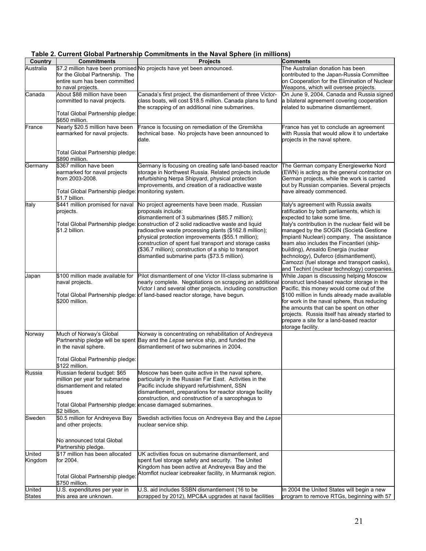| Country          | <b>Commitments</b>                                          | <b>Projects</b>                                                                                                                                 | <b>Comments</b>                                                                            |
|------------------|-------------------------------------------------------------|-------------------------------------------------------------------------------------------------------------------------------------------------|--------------------------------------------------------------------------------------------|
| Australia        |                                                             | \$7.2 million have been promised No projects have yet been announced.                                                                           | The Australian donation has been                                                           |
|                  | for the Global Partnership. The                             |                                                                                                                                                 | contributed to the Japan-Russia Committee                                                  |
|                  | entire sum has been committed<br>to naval projects.         |                                                                                                                                                 | on Cooperation for the Elimination of Nuclear<br>Weapons, which will oversee projects.     |
| Canada           | About \$88 million have been                                | Canada's first project, the dismantlement of three Victor-                                                                                      | On June 9, 2004, Canada and Russia signed                                                  |
|                  | committed to naval projects.                                | class boats, will cost \$18.5 million. Canada plans to fund                                                                                     | a bilateral agreement covering cooperation                                                 |
|                  |                                                             | the scrapping of an additional nine submarines.                                                                                                 | related to submarine dismantlement.                                                        |
|                  | Total Global Partnership pledge:<br>\$650 million.          |                                                                                                                                                 |                                                                                            |
| France           | Nearly \$20.5 million have been                             | France is focusing on remediation of the Gremikha                                                                                               | France has yet to conclude an agreement                                                    |
|                  | earmarked for naval projects.                               | technical base. No projects have been announced to                                                                                              | with Russia that would allow it to undertake                                               |
|                  |                                                             | date.                                                                                                                                           | projects in the naval sphere.                                                              |
|                  | Total Global Partnership pledge:                            |                                                                                                                                                 |                                                                                            |
|                  | \$890 million.                                              |                                                                                                                                                 |                                                                                            |
| Germany          | \$367 million have been                                     | Germany is focusing on creating safe land-based reactor                                                                                         | The German company Energiewerke Nord                                                       |
|                  | earmarked for naval projects                                | storage in Northwest Russia. Related projects include                                                                                           | (EWN) is acting as the general contractor on                                               |
|                  | from 2003-2008.                                             | refurbishing Nerpa Shipyard, physical protection                                                                                                | German projects, while the work is carried                                                 |
|                  | Total Global Partnership pledge: monitoring system.         | improvements, and creation of a radioactive waste                                                                                               | out by Russian companies. Several projects<br>have already commenced.                      |
|                  | \$1.7 billion.                                              |                                                                                                                                                 |                                                                                            |
| Italy            | \$441 million promised for naval                            | No project agreements have been made. Russian                                                                                                   | Italy's agreement with Russia awaits                                                       |
|                  | projects.                                                   | proposals include:                                                                                                                              | ratification by both parliaments, which is                                                 |
|                  |                                                             | dismantlement of 3 submarines (\$85.7 million);<br>Total Global Partnership pledge: <i>construction of 2 solid radioactive waste and liquid</i> | expected to take some time.<br>Italy's contribution in the nuclear field will be           |
|                  | \$1.2 billion.                                              | radioactive waste processing plants (\$162.8 million);                                                                                          | managed by the SOGIN (Società Gestione                                                     |
|                  |                                                             | physical protection improvements (\$55.1 million);                                                                                              | Impianti Nucleari) company. The assistance                                                 |
|                  |                                                             | construction of spent fuel transport and storage casks                                                                                          | team also includes the Fincantieri (ship-                                                  |
|                  |                                                             | (\$36.7 million); construction of a ship to transport                                                                                           | building), Ansaldo Energia (nuclear<br>technology), Duferco (dismantlement),               |
|                  |                                                             | dismantled submarine parts (\$73.5 million).                                                                                                    | Camozzi (fuel storage and transport casks),                                                |
|                  |                                                             |                                                                                                                                                 | and Techint (nuclear technology) companies.                                                |
| Japan            | \$100 million made available for                            | Pilot dismantlement of one Victor III-class submarine is                                                                                        | While Japan is discussing helping Moscow                                                   |
|                  | naval projects.                                             | nearly complete. Negotiations on scrapping an additional                                                                                        | construct land-based reactor storage in the                                                |
|                  |                                                             | Victor I and several other projects, including construction<br>Total Global Partnership pledge: of land-based reactor storage, have begun.      | Pacific, this money would come out of the<br>\$100 million in funds already made available |
|                  | \$200 million.                                              |                                                                                                                                                 | for work in the naval sphere, thus reducing                                                |
|                  |                                                             |                                                                                                                                                 | the amounts that can be spent on other                                                     |
|                  |                                                             |                                                                                                                                                 | projects. Russia itself has already started to                                             |
|                  |                                                             |                                                                                                                                                 | prepare a site for a land-based reactor<br>storage facility.                               |
| Norway           | Much of Norway's Global                                     | Norway is concentrating on rehabilitation of Andreyeva                                                                                          |                                                                                            |
|                  |                                                             | Partnership pledge will be spent Bay and the Lepse service ship, and funded the                                                                 |                                                                                            |
|                  | in the naval sphere.                                        | dismantlement of two submarines in 2004.                                                                                                        |                                                                                            |
|                  | Total Global Partnership pledge:                            |                                                                                                                                                 |                                                                                            |
|                  | \$122 million.                                              |                                                                                                                                                 |                                                                                            |
| Russia           | Russian federal budget: \$65                                | Moscow has been quite active in the naval sphere,                                                                                               |                                                                                            |
|                  | million per year for submarine                              | particularly in the Russian Far East. Activities in the                                                                                         |                                                                                            |
|                  | dismantlement and related<br>issues                         | Pacific include shipyard refurbishment, SSN<br>dismantlement, preparations for reactor storage facility                                         |                                                                                            |
|                  |                                                             | construction, and construction of a sarcophagus to                                                                                              |                                                                                            |
|                  | Total Global Partnership pledge: encase damaged submarines. |                                                                                                                                                 |                                                                                            |
|                  | \$2 billion.                                                |                                                                                                                                                 |                                                                                            |
| Sweden           | \$0.5 million for Andreyeva Bay<br>and other projects.      | Swedish activities focus on Andreyeva Bay and the Lepse<br>nuclear service ship.                                                                |                                                                                            |
|                  |                                                             |                                                                                                                                                 |                                                                                            |
|                  | No announced total Global                                   |                                                                                                                                                 |                                                                                            |
|                  | Partnership pledge.                                         |                                                                                                                                                 |                                                                                            |
| United           | \$17 million has been allocated                             | UK activities focus on submarine dismantlement, and                                                                                             |                                                                                            |
| Kingdom          | for 2004.                                                   | spent fuel storage safety and security. The United                                                                                              |                                                                                            |
|                  |                                                             | Kingdom has been active at Andreyeva Bay and the                                                                                                |                                                                                            |
|                  | Total Global Partnership pledge:                            | Atomflot nuclear icebreaker facility, in Murmansk region.                                                                                       |                                                                                            |
|                  | \$750 million.                                              |                                                                                                                                                 |                                                                                            |
| United<br>States | U.S. expenditures per year in<br>this area are unknown.     | U.S. aid includes SSBN dismantlement (16 to be<br>scrapped by 2012), MPC&A upgrades at naval facilities                                         | In 2004 the United States will begin a new<br>program to remove RTGs, beginning with 57    |
|                  |                                                             |                                                                                                                                                 |                                                                                            |

**Table 2. Current Global Partnership Commitments in the Naval Sphere (in millions)**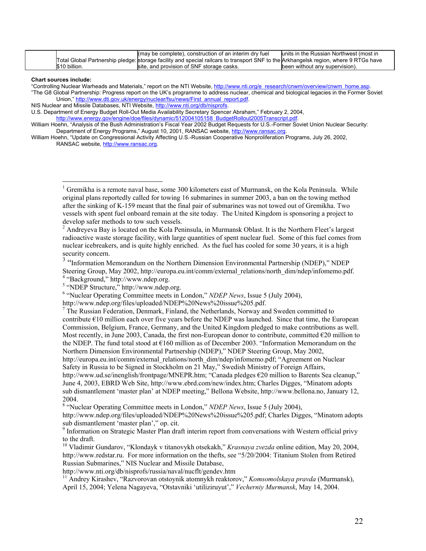|               | (may be complete), construction of an interim dry fuel                                                                               | units in the Russian Northwest (most in |
|---------------|--------------------------------------------------------------------------------------------------------------------------------------|-----------------------------------------|
|               | Total Global Partnership pledge: storage facility and special railcars to transport SNF to the Arkhangelsk region, where 9 RTGs have |                                         |
| \$10 billion. | site, and provision of SNF storage casks.                                                                                            | been without any supervision).          |

**Chart sources include:** 

 $\overline{a}$ 

"Controlling Nuclear Warheads and Materials," report on the NTI Website, [http://www.nti.org/e\\_research/cnwm/overview/cnwm\\_home.asp](http://www.nti.org/e_research/cnwm/overview/cnwm_home.asp). "The G8 Global Partnership: Progress report on the UK's programme to address nuclear, chemical and biological legacies in the Former Soviet

Union," [http://www.dti.gov.uk/energy/nuclear/fsu/news/First\\_annual\\_report.pdf.](http://www.dti.gov.uk/energy/nuclear/fsu/news/First_annual_report.pdf) NIS Nuclear and Missile Databases, NTI Website, [http://www.nti.org/db/nisprofs.](http://www.nti.org/db/nisprofs)

U.S. Department of Energy Budget Roll-Out Media Availability Secretary Spencer Abraham," February 2, 2004,

[http://www.energy.gov/engine/doe/files/dynamic/512004105158\\_BudgetRollout2005Transcript.pdf](http://www.energy.gov/engine/doe/files/dynamic/512004105158_BudgetRollout2005Transcript.pdf).

William Hoehn, "Analysis of the Bush Administration's Fiscal Year 2002 Budget Requests for U.S.-Former Soviet Union Nuclear Security: Department of Energy Programs," August 10, 2001, RANSAC website, [http://www.ransac.org](http://www.ransac.org/).

William Hoehn, "Update on Congressional Activity Affecting U.S.-Russian Cooperative Nonproliferation Programs, July 26, 2002, RANSAC website, [http://www.ransac.org](http://www.ransac.org/).

<sup>1</sup> Gremikha is a remote naval base, some 300 kilometers east of Murmansk, on the Kola Peninsula. While original plans reportedly called for towing 16 submarines in summer 2003, a ban on the towing method after the sinking of K-159 meant that the final pair of submarines was not towed out of Gremikha. Two vessels with spent fuel onboard remain at the site today. The United Kingdom is sponsoring a project to develop safer methods to tow such vessels.

 $2$  Andreyeva Bay is located on the Kola Peninsula, in Murmansk Oblast. It is the Northern Fleet's largest radioactive waste storage facility, with large quantities of spent nuclear fuel. Some of this fuel comes from nuclear icebreakers, and is quite highly enriched. As the fuel has cooled for some 30 years, it is a high security concern.

<sup>3</sup> "Information Memorandum on the Northern Dimension Environmental Partnership (NDEP)," NDEP Steering Group, May 2002, http://europa.eu.int/comm/external\_relations/north\_dim/ndep/infomemo.pdf. 4 "Background," http://www.ndep.org.

 $5$  "NDEP Structure," http://www.ndep.org.

<sup>6</sup> "Nuclear Operating Committee meets in London," *NDEP News*, Issue 5 (July 2004),

http://www.ndep.org/files/uploaded/NDEP%20News%20issue%205.pdf.

 $<sup>7</sup>$  The Russian Federation, Denmark, Finland, the Netherlands, Norway and Sweden committed to</sup> contribute  $E10$  million each over five years before the NDEP was launched. Since that time, the European Commission, Belgium, France, Germany, and the United Kingdom pledged to make contributions as well. Most recently, in June 2003, Canada, the first non-European donor to contribute, committed  $\epsilon$ 20 million to the NDEP. The fund total stood at €160 million as of December 2003. "Information Memorandum on the Northern Dimension Environmental Partnership (NDEP)," NDEP Steering Group, May 2002, http://europa.eu.int/comm/external\_relations/north\_dim/ndep/infomemo.pdf; "Agreement on Nuclear

Safety in Russia to be Signed in Stockholm on 21 May," Swedish Ministry of Foreign Affairs,

http://www.ud.se/inenglish/frontpage/MNEPR.htm; "Canada pledges €20 million to Barents Sea cleanup," June 4, 2003, EBRD Web Site, http://www.ebrd.com/new/index.htm; Charles Digges, "Minatom adopts sub dismantlement 'master plan' at NDEP meeting," Bellona Website, http://www.bellona.no, January 12, 2004.

<sup>8</sup> "Nuclear Operating Committee meets in London," *NDEP News*, Issue 5 (July 2004),

http://www.ndep.org/files/uploaded/NDEP%20News%20issue%205.pdf; Charles Digges, "Minatom adopts

sub dismantlement 'master plan'," op. cit.<br><sup>9</sup> Information on Strategic Master Plan draft interim report from conversations with Western official privy to the draft.<br><sup>10</sup> Vladimir Gundarov, "Klondayk v titanovykh otsekakh," *Krasnaya zvezda* online edition, May 20, 2004,

http://www.redstar.ru. For more information on the thefts, see "5/20/2004: Titanium Stolen from Retired Russian Submarines," NIS Nuclear and Missile Database,

http://www.nti.org/db/nisprofs/russia/naval/nucflt/gendev.htm 11 Andrey Kirashev, "Razvorovan otstoynik atomnykh reaktorov," *Komsomolskaya pravda* (Murmansk), April 15, 2004; Yelena Nagayeva, "Otstavniki 'utiliziruyut'," *Vecherniy Murmansk*, May 14, 2004.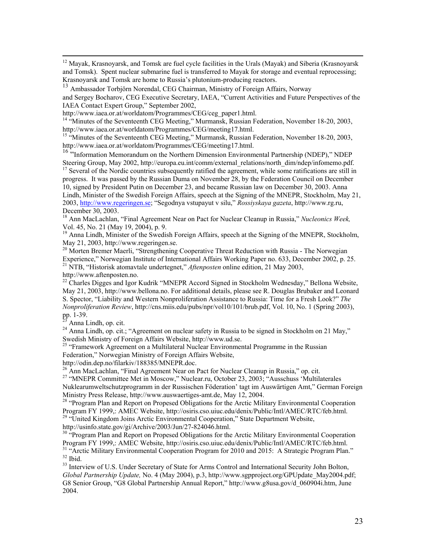<sup>12</sup> Mayak, Krasnoyarsk, and Tomsk are fuel cycle facilities in the Urals (Mayak) and Siberia (Krasnoyarsk and Tomsk). Spent nuclear submarine fuel is transferred to Mayak for storage and eventual reprocessing; Krasnoyarsk and Tomsk are home to Russia's plutonium-producing reactors.

<sup>13</sup> Ambassador Torbjörn Norendal, CEG Chairman, Ministry of Foreign Affairs, Norway

and Sergey Bocharov, CEG Executive Secretary, IAEA, "Current Activities and Future Perspectives of the IAEA Contact Expert Group," September 2002,<br>http://www.iaea.or.at/worldatom/Programmes/CEG/ceg\_paper1.html.

<sup>14 "</sup>Minutes of the Seventeenth CEG Meeting," Murmansk, Russian Federation, November 18-20, 2003, http://www.iaea.or.at/worldatom/Programmes/CEG/meeting17.html.<br><sup>15</sup> "Minutes of the Seventeenth CEG Meeting," Murmansk, Russian Federation, November 18-20, 2003,

http://www.iaea.or.at/worldatom/Programmes/CEG/meeting17.html.<br><sup>16</sup> "Information Memorandum on the Northern Dimension Environmental Partnership (NDEP)," NDEP

Steering Group, May 2002, http://europa.eu.int/comm/external\_relations/north\_dim/ndep/infomemo.pdf. <sup>17</sup> Several of the Nordic countries subsequently ratified the agreement, while some ratifications are still in

progress. It was passed by the Russian Duma on November 28, by the Federation Council on December 10, signed by President Putin on December 23, and became Russian law on December 30, 2003. Anna Lindh, Minister of the Swedish Foreign Affairs, speech at the Signing of the MNEPR, Stockholm, May 21, 2003, [http://www.regeringen.se;](http://www.regeringen.se/) "Segodnya vstupayut v silu," *Rossiyskaya gazeta*, http://www.rg.ru,

<sup>18</sup> Ann MacLachlan, "Final Agreement Near on Pact for Nuclear Cleanup in Russia," *Nucleonics Week*,

Vol. 45, No. 21 (May 19, 2004), p. 9.<br><sup>19</sup> Anna Lindh, Minister of the Swedish Foreign Affairs, speech at the Signing of the MNEPR, Stockholm, May 21, 2003, http://www.regeringen.se.

<sup>20</sup> Morten Bremer Maerli, "Strengthening Cooperative Threat Reduction with Russia - The Norwegian Experience," Norwegian Institute of International Affairs Working Paper no. 633, December 2002, p. 25. Experience, Tionic gian Institute of International Affairs Working Paper no. 633, 21 NTB, "Historisk atomavtale undertegnet," *Aftenposten* online edition, 21 May 2003,

http://www.aftenposten.no.<br><sup>22</sup> Charles Digges and Igor Kudrik "MNEPR Accord Signed in Stockholm Wednesday," Bellona Website, May 21, 2003, http://www.bellona.no. For additional details, please see R. Douglas Brubaker and Leonard S. Spector, "Liability and Western Nonproliferation Assistance to Russia: Time for a Fresh Look?" *The Nonproliferation Review*, http://cns.miis.edu/pubs/npr/vol10/101/brub.pdf, Vol. 10, No. 1 (Spring 2003), pp. 1-39.

<sup>23</sup> Anna Lindh, op. cit. <sup>24</sup> Anna Lindh, op. cit.; "Agreement on nuclear safety in Russia to be signed in Stockholm on 21 May," Swedish Ministry of Foreign Affairs Website, http://www.ud.se.

<sup>25</sup> "Framework Agreement on a Multilateral Nuclear Environmental Programme in the Russian Federation," Norwegian Ministry of Foreign Affairs Website, http://odin.dep.no/filarkiv/188385/MNEPR.doc.

<sup>26</sup> Ann MacLachlan, "Final Agreement Near on Pact for Nuclear Cleanup in Russia," op. cit.<br><sup>27</sup> "MNEPR Committee Met in Moscow," Nuclear.ru, October 23, 2003; "Ausschuss 'Multilaterales

Nuklearumweltschutzprogramm in der Russischen Föderation' tagt im Auswärtigen Amt," German Foreign

Ministry Press Release, http://www.auswaertiges-amt.de, May 12, 2004.<br><sup>28</sup> "Program Plan and Report on Propesed Obligations for the Arctic Military Environmental Cooperation<br>Program FY 1999,: AMEC Website, http://osiris.cs

<sup>29</sup> "United Kingdom Joins Arctic Environmental Cooperation," State Department Website,

http://usinfo.state.gov/gi/Archive/2003/Jun/27-824046.html.<br><sup>30</sup> "Program Plan and Report on Propesed Obligations for the Arctic Military Environmental Cooperation Program FY 1999,: AMEC Website, http://osiris.cso.uiuc.edu/denix/Public/Intl/AMEC/RTC/feb.html.<br><sup>31</sup> "Arctic Military Environmental Cooperation Program for 2010 and 2015: A Strategic Program Plan."<br><sup>32</sup> Ibid.<br><sup>33</sup> Intervie

*Global Partnership Update,* No. 4 (May 2004), p.3, http://www.sgpproject.org/GPUpdate\_May2004.pdf; G8 Senior Group, "G8 Global Partnership Annual Report," http://www.g8usa.gov/d\_060904i.htm, June 2004.